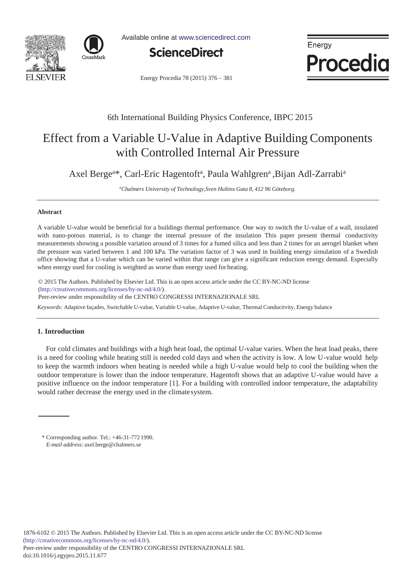



Available online at www.sciencedirect.com



Energy Procedia

Energy Procedia 78 (2015) 376 - 381

# 6th International Building Physics Conference, IBPC 2015

# Effect from a Variable U-Value in Adaptive Building Components with Controlled Internal Air Pressure

Axel Berge<sup>a\*</sup>, Carl-Eric Hagentoft<sup>a</sup>, Paula Wahlgren<sup>a</sup>, Bijan Adl-Zarrabi<sup>a</sup>

*a Chalmers University of Technology,Sven Hultins Gata 8, 412 96 Göteborg.*

#### **Abstract**

A variable U-value would be beneficial for a buildings thermal performance. One way to switch the U-value of a wall, insulated with nano-porous material, is to change the internal pressure of the insulation This paper present thermal conductivity measurements showing a possible variation around of 3 times for a fumed silica and less than 2 times for an aerogel blanket when the pressure was varied between 1 and 100 kPa. The variation factor of 3 was used in building energy simulation of a Swedish office showing that a U-value which can be varied within that range can give a significant reduction energy demand. Especially when energy used for cooling is weighted as worse than energy used for heating.

© 2015 The Authors. Published by Elsevier Ltd. © 2015 The Authors. Published by Elsevier Ltd. This is an open access article under the CC BY-NC-ND license  $(\text{http://creativecommons.org/licenses/by-nc-nd/4.0/">\ntext{http://creativecommons.org/licenses/by-nc-nd/4.0/}).$ 

Peer-review under responsibility of the CENTRO CONGRESSI INTERNAZIONALE SRL

*Keywords:* Adaptive façades, Switchable U-value, Variable U-value, Adaptive U-value, Thermal Conductivity, Energy balance

# **1. Introduction**

For cold climates and buildings with a high heat load, the optimal U-value varies. When the heat load peaks, there is a need for cooling while heating still is needed cold days and when the activity is low. A low U-value would help to keep the warmth indoors when heating is needed while a high U-value would help to cool the building when the outdoor temperature is lower than the indoor temperature. Hagentoft shows that an adaptive U-value would have a positive influence on the indoor temperature [1]. For a building with controlled indoor temperature, the adaptability would rather decrease the energy used in the climate system.

<sup>\*</sup> Corresponding author. Tel.: +46-31-772 1990. *E-mail address:* axel.berge@chalmers.se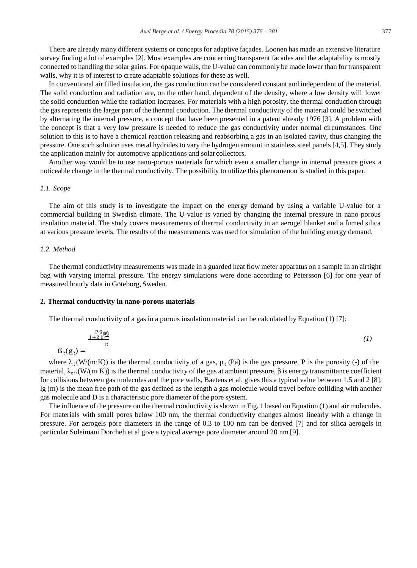There are already many different systems or concepts for adaptive façades. Loonen has made an extensive literature survey finding a lot of examples [2]. Most examples are concerning transparent facades and the adaptability is mostly connected to handling the solar gains. For opaque walls, the U-value can commonly be made lower than for transparent walls, why it is of interest to create adaptable solutions for these as well.

In conventional air filled insulation, the gas conduction can be considered constant and independent of the material. The solid conduction and radiation are, on the other hand, dependent of the density, where a low density will lower the solid conduction while the radiation increases. For materials with a high porosity, the thermal conduction through the gas represents the larger part of the thermal conduction. The thermal conductivity of the material could be switched by alternating the internal pressure, a concept that have been presented in a patent already 1976 [3]. A problem with the concept is that a very low pressure is needed to reduce the gas conductivity under normal circumstances. One solution to this is to have a chemical reaction releasing and reabsorbing a gas in an isolated cavity, thus changing the pressure. One such solution uses metal hydrides to vary the hydrogen amount in stainless steel panels [4,5]. They study the application mainly for automotive applications and solar collectors.

Another way would be to use nano-porous materials for which even a smaller change in internal pressure gives a noticeable change in the thermal conductivity. The possibility to utilize this phenomenon is studied in this paper.

#### *1.1. Scope*

The aim of this study is to investigate the impact on the energy demand by using a variable U-value for a commercial building in Swedish climate. The U-value is varied by changing the internal pressure in nano-porous insulation material. The study covers measurements of thermal conductivity in an aerogel blanket and a fumed silica at various pressure levels. The results of the measurements was used for simulation of the building energy demand.

## *1.2. Method*

The thermal conductivity measurements was made in a guarded heat flow meter apparatus on a sample in an airtight bag with varying internal pressure. The energy simulations were done according to Petersson [6] for one year of measured hourly data in Göteborg, Sweden.

#### **2. Thermal conductivity in nano-porous materials**

The thermal conductivity of a gas in a porous insulation material can be calculated by Equation (1) [7]:

$$
\frac{1+2\cdot b^2}{1+2\cdot b^2} \tag{1}
$$

$$
\mathbf{g}_g(\mathbf{g}_g) =
$$

where  $\lambda_{g}$  (W/(m·K)) is the thermal conductivity of a gas,  $p_{g}$  (Pa) is the gas pressure, P is the porosity (-) of the material,  $λ_{g,0}$  (W/(m·K)) is the thermal conductivity of the gas at ambient pressure, β is energy transmittance coefficient for collisions between gas molecules and the pore walls, Baetens et al. gives this a typical value between 1.5 and 2 [8], lg (m) is the mean free path of the gas defined as the length a gas molecule would travel before colliding with another gas molecule and D is a characteristic pore diameter of the pore system.

The influence of the pressure on the thermal conductivity is shown in Fig. 1 based on Equation (1) and air molecules. For materials with small pores below 100 nm, the thermal conductivity changes almost linearly with a change in pressure. For aerogels pore diameters in the range of 0.3 to 100 nm can be derived [7] and for silica aerogels in particular Soleimani Dorcheh et al give a typical average pore diameter around 20 nm [9].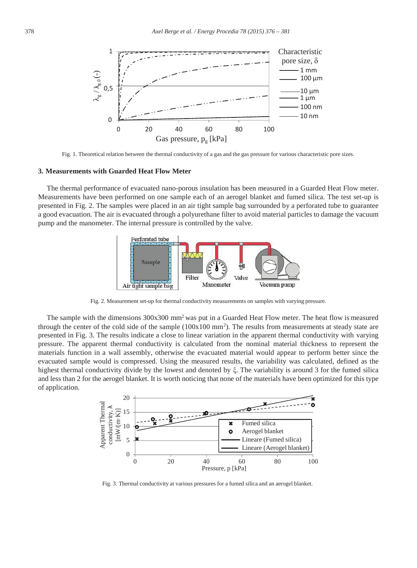

Fig. 1. Theoretical relation between the thermal conductivity of a gas and the gas pressure for various characteristic pore sizes.

#### **3. Measurements with Guarded Heat Flow Meter**

The thermal performance of evacuated nano-porous insulation has been measured in a Guarded Heat Flow meter. Measurements have been performed on one sample each of an aerogel blanket and fumed silica. The test set-up is presented in Fig. 2. The samples were placed in an air tight sample bag surrounded by a perforated tube to guarantee a good evacuation. The air is evacuated through a polyurethane filter to avoid material particles to damage the vacuum pump and the manometer. The internal pressure is controlled by the valve.



Fig. 2. Measurement set-up for thermal conductivity measurements on samples with varying pressure.

The sample with the dimensions 300x300 mm<sup>2</sup> was put in a Guarded Heat Flow meter. The heat flow is measured through the center of the cold side of the sample  $(100x100 \text{ mm}^2)$ . The results from measurements at steady state are presented in Fig. 3. The results indicate a close to linear variation in the apparent thermal conductivity with varying pressure. The apparent thermal conductivity is calculated from the nominal material thickness to represent the materials function in a wall assembly, otherwise the evacuated material would appear to perform better since the evacuated sample would is compressed. Using the measured results, the variability was calculated, defined as the highest thermal conductivity divide by the lowest and denoted by ξ. The variability is around 3 for the fumed silica and less than 2 for the aerogel blanket. It is worth noticing that none of the materials have been optimized for this type of application.



Fig. 3. Thermal conductivity at various pressures for a fumed silica and an aerogel blanket.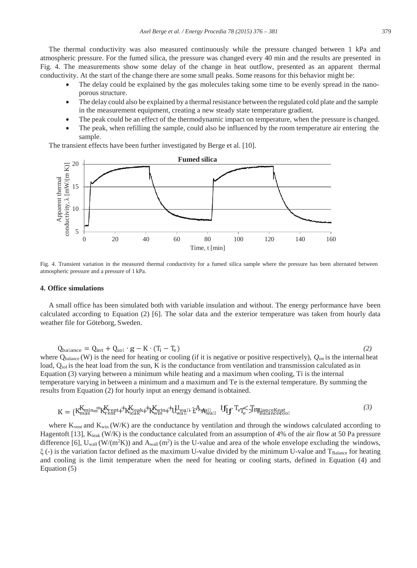The thermal conductivity was also measured continuously while the pressure changed between 1 kPa and atmospheric pressure. For the fumed silica, the pressure was changed every 40 min and the results are presented in Fig. 4. The measurements show some delay of the change in heat outflow, presented as an apparent thermal conductivity. At the start of the change there are some small peaks. Some reasons for this behavior might be:

- The delay could be explained by the gas molecules taking some time to be evenly spread in the nanoporous structure.
- The delay could also be explained by a thermal resistance between the regulated cold plate and the sample in the measurement equipment, creating a new steady state temperature gradient.
- The peak could be an effect of the thermodynamic impact on temperature, when the pressure is changed.
- The peak, when refilling the sample, could also be influenced by the room temperature air entering the sample.

The transient effects have been further investigated by Berge et al. [10].



Fig. 4. Transient variation in the measured thermal conductivity for a fumed silica sample where the pressure has been alternated between atmospheric pressure and a pressure of 1 kPa.

#### **4. Office simulations**

A small office has been simulated both with variable insulation and without. The energy performance have been calculated according to Equation (2) [6]. The solar data and the exterior temperature was taken from hourly data weather file for Göteborg, Sweden.

 $Q_{\text{balance}} = Q_{\text{int}} + Q_{\text{sol}} \cdot g - K \cdot (T_i - T_e)$  (2)

where  $Q_{\text{balance}}(W)$  is the need for heating or cooling (if it is negative or positive respectively),  $Q_{\text{int}}$  is the internal heat load,  $Q_{sol}$  is the heat load from the sun, K is the conductance from ventilation and transmission calculated as in Equation (3) varying between a minimum while heating and a maximum when cooling, Ti is the internal temperature varying in between a minimum and a maximum and Te is the external temperature. By summing the results from Equation (2) for hourly input an energy demand is obtained.

 ൌ <sup>ሼ</sup> ൌ ͳ ͳͳ <sup>ή</sup> ͳͳ ᐦ ൏ ͳ ൌ ͳ ͳͳ <sup>ή</sup> ͉ <sup>ή</sup> ͳͳ ᐦ ͳ͆ͳ *(3)*

where  $K_{\text{vent}}$  and  $K_{\text{win}}$  (W/K) are the conductance by ventilation and through the windows calculated according to Hagentoft [13],  $K_{\text{leak}}$  (W/K) is the conductance calculated from an assumption of 4% of the air flow at 50 Pa pressure difference [6],  $U_{wall}(W/(m^2K))$  and  $A_{wall}(m^2)$  is the U-value and area of the whole envelope excluding the windows,  $\xi$  (-) is the variation factor defined as the maximum U-value divided by the minimum U-value and T<sub>Balance</sub> for heating and cooling is the limit temperature when the need for heating or cooling starts, defined in Equation (4) and Equation (5)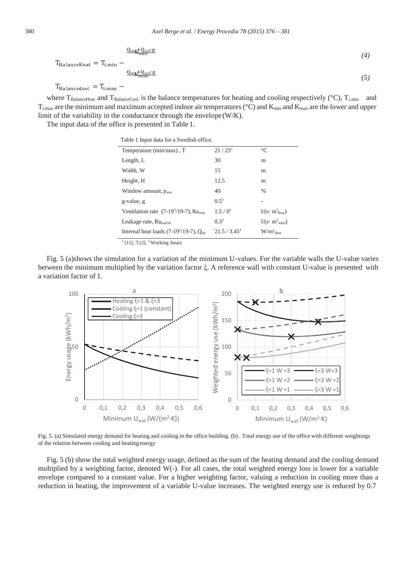$\frac{Q_{\text{in}} + Q_{\text{sol}} g}{Q_{\text{in}} + Q_{\text{sol}} g}$  (4)

 $T_{Balance Keat} = T_{i,min}$  –

$$
\frac{Q_{\text{in}} \mathbf{r}^{\perp} Q_{\text{sol}} \cdot \mathbf{g}}{\text{max}^{\perp}} \tag{5}
$$

 $T_{\text{Balance} \phi \text{oo1}} = T_{\text{i} \text{}. \text{mas}}$  –

where  $T_{BalanceHeat}$  and  $T_{BalanceCool}$  is the balance temperatures for heating and cooling respectively ( $°C$ ),  $T_{i,min}$  and  $T_{i,max}$  are the minimum and maximum accepted indoor air temperatures (°C) and  $K_{min}$  and  $K_{max}$  are the lower and upper limit of the variability in the conductance through the envelope (W/K).

The input data of the office is presented in Table 1.

| Table 1 Input data for a Swedish office.               |                            |                                  |
|--------------------------------------------------------|----------------------------|----------------------------------|
| Temperature $(min/max)$ , T                            | 21/23 <sup>1</sup>         | $^{\circ}C$                      |
| Length, L                                              | 30                         | m                                |
| Width, W                                               | 15                         | m                                |
| Height, H                                              | 12.5                       | m                                |
| Window amount, $p_{win}$                               | 40                         | $\%$                             |
| g-value, g                                             | $0.5^{1}$                  |                                  |
| Ventilation rate $(7-19^3/19-7)$ , Ra <sub>vent</sub>  | 1.5/0 <sup>1</sup>         | $1/(s \cdot m^2_{\text{floor}})$ |
| Leakage rate, $Ra_{\text{leak50}}$                     | 0 <sup>3<sup>2</sup></sup> | $1/(s \cdot m^2_{\text{walls}})$ |
| Internal heat loads $(7-19^3/19-7)$ , O <sub>int</sub> | $21.5 / 3.45$ <sup>1</sup> | $W/m^2_{\text{floor}}$           |
| $^{1}[11]$ , $^{2}[12]$ , <sup>3</sup> Working hours   |                            |                                  |

Fig. 5 (a)shows the simulation for a variation of the minimum U-values. For the variable walls the U-value varies between the minimum multiplied by the variation factor ξ. A reference wall with constant U-value is presented with



Fig. 5. (a) Simulated energy demand for heating and cooling in the office building. (b) . Total energy use of the office with different weightings of the relation between cooling and heating energy

Fig. 5 (b) show the total weighted energy usage, defined as the sum of the heating demand and the cooling demand multiplied by a weighting factor, denoted W(-). For all cases, the total weighted energy loss is lower for a variable envelope compared to a constant value. For a higher weighting factor, valuing a reduction in cooling more than a reduction in heating, the improvement of a variable U-value increases. The weighted energy use is reduced by 0.7